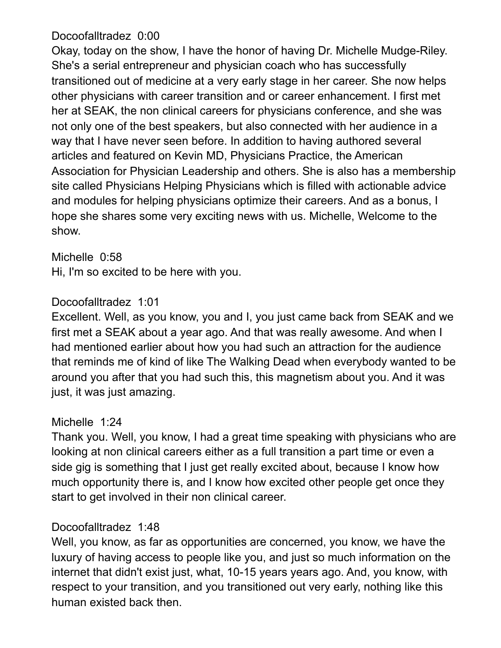### Docoofalltradez 0:00

Okay, today on the show, I have the honor of having Dr. Michelle Mudge-Riley. She's a serial entrepreneur and physician coach who has successfully transitioned out of medicine at a very early stage in her career. She now helps other physicians with career transition and or career enhancement. I first met her at SEAK, the non clinical careers for physicians conference, and she was not only one of the best speakers, but also connected with her audience in a way that I have never seen before. In addition to having authored several articles and featured on Kevin MD, Physicians Practice, the American Association for Physician Leadership and others. She is also has a membership site called Physicians Helping Physicians which is filled with actionable advice and modules for helping physicians optimize their careers. And as a bonus, I hope she shares some very exciting news with us. Michelle, Welcome to the show.

#### Michelle 0:58

Hi, I'm so excited to be here with you.

## Docoofalltradez 1:01

Excellent. Well, as you know, you and I, you just came back from SEAK and we first met a SEAK about a year ago. And that was really awesome. And when I had mentioned earlier about how you had such an attraction for the audience that reminds me of kind of like The Walking Dead when everybody wanted to be around you after that you had such this, this magnetism about you. And it was just, it was just amazing.

#### Michelle 1:24

Thank you. Well, you know, I had a great time speaking with physicians who are looking at non clinical careers either as a full transition a part time or even a side gig is something that I just get really excited about, because I know how much opportunity there is, and I know how excited other people get once they start to get involved in their non clinical career.

## Docoofalltradez 1:48

Well, you know, as far as opportunities are concerned, you know, we have the luxury of having access to people like you, and just so much information on the internet that didn't exist just, what, 10-15 years years ago. And, you know, with respect to your transition, and you transitioned out very early, nothing like this human existed back then.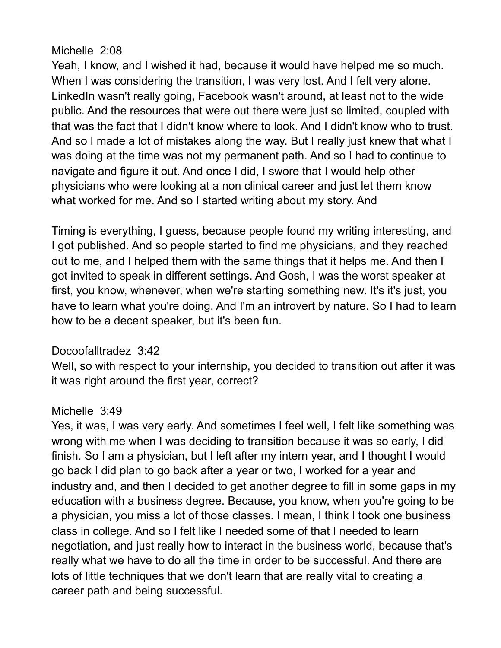## Michelle 2:08

Yeah, I know, and I wished it had, because it would have helped me so much. When I was considering the transition, I was very lost. And I felt very alone. LinkedIn wasn't really going, Facebook wasn't around, at least not to the wide public. And the resources that were out there were just so limited, coupled with that was the fact that I didn't know where to look. And I didn't know who to trust. And so I made a lot of mistakes along the way. But I really just knew that what I was doing at the time was not my permanent path. And so I had to continue to navigate and figure it out. And once I did, I swore that I would help other physicians who were looking at a non clinical career and just let them know what worked for me. And so I started writing about my story. And

Timing is everything, I guess, because people found my writing interesting, and I got published. And so people started to find me physicians, and they reached out to me, and I helped them with the same things that it helps me. And then I got invited to speak in different settings. And Gosh, I was the worst speaker at first, you know, whenever, when we're starting something new. It's it's just, you have to learn what you're doing. And I'm an introvert by nature. So I had to learn how to be a decent speaker, but it's been fun.

## Docoofalltradez 3:42

Well, so with respect to your internship, you decided to transition out after it was it was right around the first year, correct?

## Michelle 3:49

Yes, it was, I was very early. And sometimes I feel well, I felt like something was wrong with me when I was deciding to transition because it was so early, I did finish. So I am a physician, but I left after my intern year, and I thought I would go back I did plan to go back after a year or two, I worked for a year and industry and, and then I decided to get another degree to fill in some gaps in my education with a business degree. Because, you know, when you're going to be a physician, you miss a lot of those classes. I mean, I think I took one business class in college. And so I felt like I needed some of that I needed to learn negotiation, and just really how to interact in the business world, because that's really what we have to do all the time in order to be successful. And there are lots of little techniques that we don't learn that are really vital to creating a career path and being successful.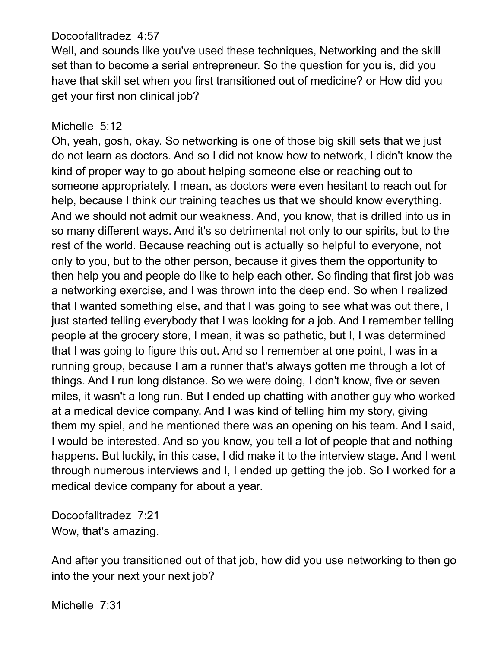### Docoofalltradez 4:57

Well, and sounds like you've used these techniques, Networking and the skill set than to become a serial entrepreneur. So the question for you is, did you have that skill set when you first transitioned out of medicine? or How did you get your first non clinical job?

### Michelle 5:12

Oh, yeah, gosh, okay. So networking is one of those big skill sets that we just do not learn as doctors. And so I did not know how to network, I didn't know the kind of proper way to go about helping someone else or reaching out to someone appropriately. I mean, as doctors were even hesitant to reach out for help, because I think our training teaches us that we should know everything. And we should not admit our weakness. And, you know, that is drilled into us in so many different ways. And it's so detrimental not only to our spirits, but to the rest of the world. Because reaching out is actually so helpful to everyone, not only to you, but to the other person, because it gives them the opportunity to then help you and people do like to help each other. So finding that first job was a networking exercise, and I was thrown into the deep end. So when I realized that I wanted something else, and that I was going to see what was out there, I just started telling everybody that I was looking for a job. And I remember telling people at the grocery store, I mean, it was so pathetic, but I, I was determined that I was going to figure this out. And so I remember at one point, I was in a running group, because I am a runner that's always gotten me through a lot of things. And I run long distance. So we were doing, I don't know, five or seven miles, it wasn't a long run. But I ended up chatting with another guy who worked at a medical device company. And I was kind of telling him my story, giving them my spiel, and he mentioned there was an opening on his team. And I said, I would be interested. And so you know, you tell a lot of people that and nothing happens. But luckily, in this case, I did make it to the interview stage. And I went through numerous interviews and I, I ended up getting the job. So I worked for a medical device company for about a year.

Docoofalltradez 7:21 Wow, that's amazing.

And after you transitioned out of that job, how did you use networking to then go into the your next your next job?

Michelle 7:31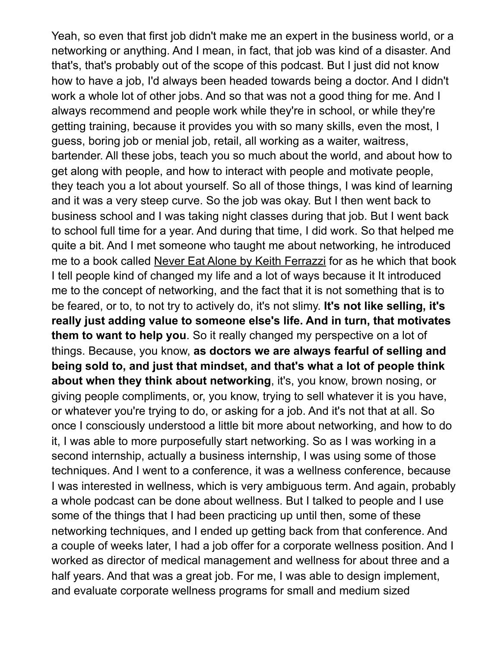Yeah, so even that first job didn't make me an expert in the business world, or a networking or anything. And I mean, in fact, that job was kind of a disaster. And that's, that's probably out of the scope of this podcast. But I just did not know how to have a job, I'd always been headed towards being a doctor. And I didn't work a whole lot of other jobs. And so that was not a good thing for me. And I always recommend and people work while they're in school, or while they're getting training, because it provides you with so many skills, even the most, I guess, boring job or menial job, retail, all working as a waiter, waitress, bartender. All these jobs, teach you so much about the world, and about how to get along with people, and how to interact with people and motivate people, they teach you a lot about yourself. So all of those things, I was kind of learning and it was a very steep curve. So the job was okay. But I then went back to business school and I was taking night classes during that job. But I went back to school full time for a year. And during that time, I did work. So that helped me quite a bit. And I met someone who taught me about networking, he introduced me to a book called Never Eat Alone by Keith Ferrazzi for as he which that book I tell people kind of changed my life and a lot of ways because it It introduced me to the concept of networking, and the fact that it is not something that is to be feared, or to, to not try to actively do, it's not slimy. **It's not like selling, it's really just adding value to someone else's life. And in turn, that motivates them to want to help you**. So it really changed my perspective on a lot of things. Because, you know, **as doctors we are always fearful of selling and being sold to, and just that mindset, and that's what a lot of people think about when they think about networking**, it's, you know, brown nosing, or giving people compliments, or, you know, trying to sell whatever it is you have, or whatever you're trying to do, or asking for a job. And it's not that at all. So once I consciously understood a little bit more about networking, and how to do it, I was able to more purposefully start networking. So as I was working in a second internship, actually a business internship, I was using some of those techniques. And I went to a conference, it was a wellness conference, because I was interested in wellness, which is very ambiguous term. And again, probably a whole podcast can be done about wellness. But I talked to people and I use some of the things that I had been practicing up until then, some of these networking techniques, and I ended up getting back from that conference. And a couple of weeks later, I had a job offer for a corporate wellness position. And I worked as director of medical management and wellness for about three and a half years. And that was a great job. For me, I was able to design implement, and evaluate corporate wellness programs for small and medium sized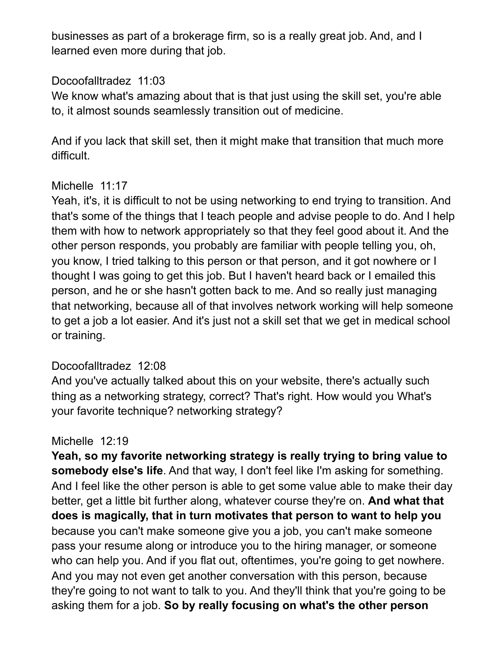businesses as part of a brokerage firm, so is a really great job. And, and I learned even more during that job.

### Docoofalltradez 11:03

We know what's amazing about that is that just using the skill set, you're able to, it almost sounds seamlessly transition out of medicine.

And if you lack that skill set, then it might make that transition that much more difficult.

### Michelle 11:17

Yeah, it's, it is difficult to not be using networking to end trying to transition. And that's some of the things that I teach people and advise people to do. And I help them with how to network appropriately so that they feel good about it. And the other person responds, you probably are familiar with people telling you, oh, you know, I tried talking to this person or that person, and it got nowhere or I thought I was going to get this job. But I haven't heard back or I emailed this person, and he or she hasn't gotten back to me. And so really just managing that networking, because all of that involves network working will help someone to get a job a lot easier. And it's just not a skill set that we get in medical school or training.

## Docoofalltradez 12:08

And you've actually talked about this on your website, there's actually such thing as a networking strategy, correct? That's right. How would you What's your favorite technique? networking strategy?

## Michelle 12:19

**Yeah, so my favorite networking strategy is really trying to bring value to somebody else's life**. And that way, I don't feel like I'm asking for something. And I feel like the other person is able to get some value able to make their day better, get a little bit further along, whatever course they're on. **And what that does is magically, that in turn motivates that person to want to help you**  because you can't make someone give you a job, you can't make someone pass your resume along or introduce you to the hiring manager, or someone who can help you. And if you flat out, oftentimes, you're going to get nowhere. And you may not even get another conversation with this person, because they're going to not want to talk to you. And they'll think that you're going to be asking them for a job. **So by really focusing on what's the other person**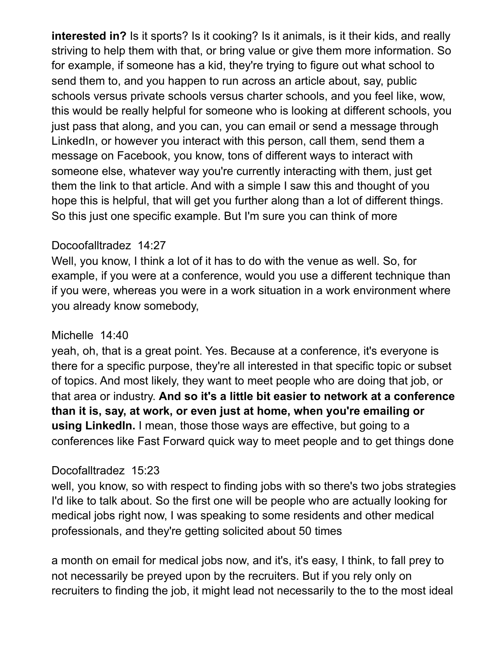**interested in?** Is it sports? Is it cooking? Is it animals, is it their kids, and really striving to help them with that, or bring value or give them more information. So for example, if someone has a kid, they're trying to figure out what school to send them to, and you happen to run across an article about, say, public schools versus private schools versus charter schools, and you feel like, wow, this would be really helpful for someone who is looking at different schools, you just pass that along, and you can, you can email or send a message through LinkedIn, or however you interact with this person, call them, send them a message on Facebook, you know, tons of different ways to interact with someone else, whatever way you're currently interacting with them, just get them the link to that article. And with a simple I saw this and thought of you hope this is helpful, that will get you further along than a lot of different things. So this just one specific example. But I'm sure you can think of more

### Docoofalltradez 14:27

Well, you know, I think a lot of it has to do with the venue as well. So, for example, if you were at a conference, would you use a different technique than if you were, whereas you were in a work situation in a work environment where you already know somebody,

#### Michelle 14:40

yeah, oh, that is a great point. Yes. Because at a conference, it's everyone is there for a specific purpose, they're all interested in that specific topic or subset of topics. And most likely, they want to meet people who are doing that job, or that area or industry. **And so it's a little bit easier to network at a conference than it is, say, at work, or even just at home, when you're emailing or using LinkedIn.** I mean, those those ways are effective, but going to a conferences like Fast Forward quick way to meet people and to get things done

## Docofalltradez 15:23

well, you know, so with respect to finding jobs with so there's two jobs strategies I'd like to talk about. So the first one will be people who are actually looking for medical jobs right now, I was speaking to some residents and other medical professionals, and they're getting solicited about 50 times

a month on email for medical jobs now, and it's, it's easy, I think, to fall prey to not necessarily be preyed upon by the recruiters. But if you rely only on recruiters to finding the job, it might lead not necessarily to the to the most ideal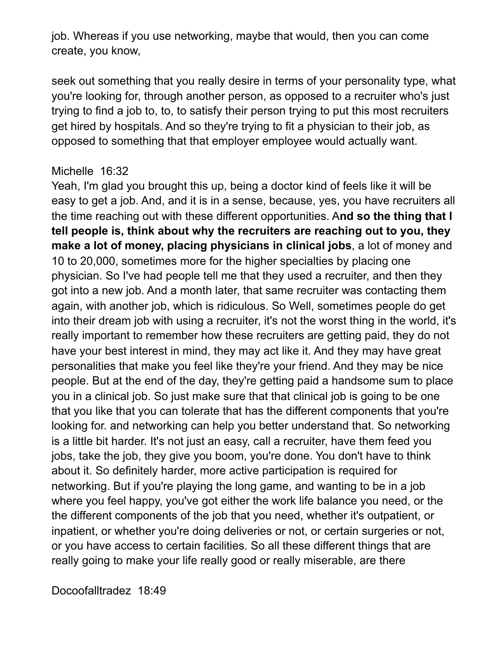job. Whereas if you use networking, maybe that would, then you can come create, you know,

seek out something that you really desire in terms of your personality type, what you're looking for, through another person, as opposed to a recruiter who's just trying to find a job to, to, to satisfy their person trying to put this most recruiters get hired by hospitals. And so they're trying to fit a physician to their job, as opposed to something that that employer employee would actually want.

#### Michelle 16:32

Yeah, I'm glad you brought this up, being a doctor kind of feels like it will be easy to get a job. And, and it is in a sense, because, yes, you have recruiters all the time reaching out with these different opportunities. A**nd so the thing that I tell people is, think about why the recruiters are reaching out to you, they make a lot of money, placing physicians in clinical jobs**, a lot of money and 10 to 20,000, sometimes more for the higher specialties by placing one physician. So I've had people tell me that they used a recruiter, and then they got into a new job. And a month later, that same recruiter was contacting them again, with another job, which is ridiculous. So Well, sometimes people do get into their dream job with using a recruiter, it's not the worst thing in the world, it's really important to remember how these recruiters are getting paid, they do not have your best interest in mind, they may act like it. And they may have great personalities that make you feel like they're your friend. And they may be nice people. But at the end of the day, they're getting paid a handsome sum to place you in a clinical job. So just make sure that that clinical job is going to be one that you like that you can tolerate that has the different components that you're looking for. and networking can help you better understand that. So networking is a little bit harder. It's not just an easy, call a recruiter, have them feed you jobs, take the job, they give you boom, you're done. You don't have to think about it. So definitely harder, more active participation is required for networking. But if you're playing the long game, and wanting to be in a job where you feel happy, you've got either the work life balance you need, or the the different components of the job that you need, whether it's outpatient, or inpatient, or whether you're doing deliveries or not, or certain surgeries or not, or you have access to certain facilities. So all these different things that are really going to make your life really good or really miserable, are there

Docoofalltradez 18:49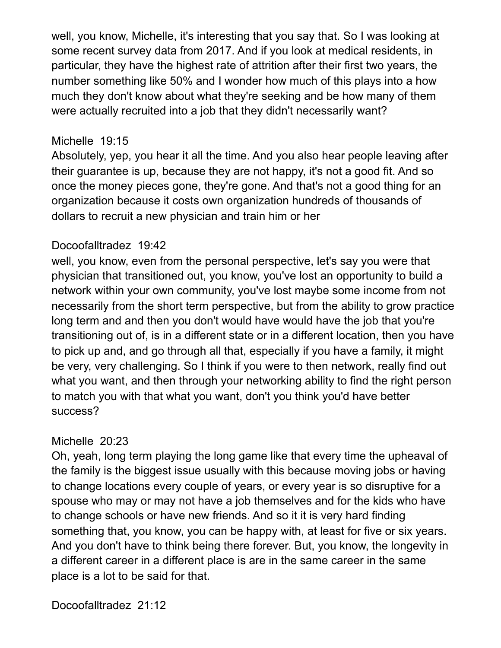well, you know, Michelle, it's interesting that you say that. So I was looking at some recent survey data from 2017. And if you look at medical residents, in particular, they have the highest rate of attrition after their first two years, the number something like 50% and I wonder how much of this plays into a how much they don't know about what they're seeking and be how many of them were actually recruited into a job that they didn't necessarily want?

#### Michelle 19:15

Absolutely, yep, you hear it all the time. And you also hear people leaving after their guarantee is up, because they are not happy, it's not a good fit. And so once the money pieces gone, they're gone. And that's not a good thing for an organization because it costs own organization hundreds of thousands of dollars to recruit a new physician and train him or her

#### Docoofalltradez 19:42

well, you know, even from the personal perspective, let's say you were that physician that transitioned out, you know, you've lost an opportunity to build a network within your own community, you've lost maybe some income from not necessarily from the short term perspective, but from the ability to grow practice long term and and then you don't would have would have the job that you're transitioning out of, is in a different state or in a different location, then you have to pick up and, and go through all that, especially if you have a family, it might be very, very challenging. So I think if you were to then network, really find out what you want, and then through your networking ability to find the right person to match you with that what you want, don't you think you'd have better success?

#### Michelle 20:23

Oh, yeah, long term playing the long game like that every time the upheaval of the family is the biggest issue usually with this because moving jobs or having to change locations every couple of years, or every year is so disruptive for a spouse who may or may not have a job themselves and for the kids who have to change schools or have new friends. And so it it is very hard finding something that, you know, you can be happy with, at least for five or six years. And you don't have to think being there forever. But, you know, the longevity in a different career in a different place is are in the same career in the same place is a lot to be said for that.

Docoofalltradez 21:12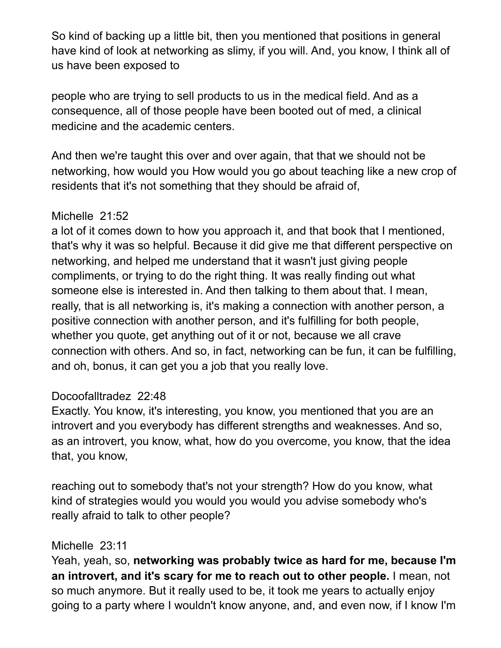So kind of backing up a little bit, then you mentioned that positions in general have kind of look at networking as slimy, if you will. And, you know, I think all of us have been exposed to

people who are trying to sell products to us in the medical field. And as a consequence, all of those people have been booted out of med, a clinical medicine and the academic centers.

And then we're taught this over and over again, that that we should not be networking, how would you How would you go about teaching like a new crop of residents that it's not something that they should be afraid of,

### Michelle 21:52

a lot of it comes down to how you approach it, and that book that I mentioned, that's why it was so helpful. Because it did give me that different perspective on networking, and helped me understand that it wasn't just giving people compliments, or trying to do the right thing. It was really finding out what someone else is interested in. And then talking to them about that. I mean, really, that is all networking is, it's making a connection with another person, a positive connection with another person, and it's fulfilling for both people, whether you quote, get anything out of it or not, because we all crave connection with others. And so, in fact, networking can be fun, it can be fulfilling, and oh, bonus, it can get you a job that you really love.

## Docoofalltradez 22:48

Exactly. You know, it's interesting, you know, you mentioned that you are an introvert and you everybody has different strengths and weaknesses. And so, as an introvert, you know, what, how do you overcome, you know, that the idea that, you know,

reaching out to somebody that's not your strength? How do you know, what kind of strategies would you would you would you advise somebody who's really afraid to talk to other people?

## Michelle 23:11

Yeah, yeah, so, **networking was probably twice as hard for me, because I'm an introvert, and it's scary for me to reach out to other people.** I mean, not so much anymore. But it really used to be, it took me years to actually enjoy going to a party where I wouldn't know anyone, and, and even now, if I know I'm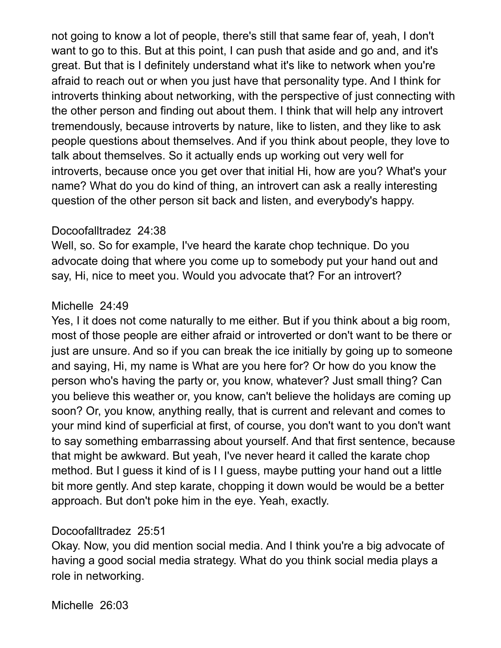not going to know a lot of people, there's still that same fear of, yeah, I don't want to go to this. But at this point, I can push that aside and go and, and it's great. But that is I definitely understand what it's like to network when you're afraid to reach out or when you just have that personality type. And I think for introverts thinking about networking, with the perspective of just connecting with the other person and finding out about them. I think that will help any introvert tremendously, because introverts by nature, like to listen, and they like to ask people questions about themselves. And if you think about people, they love to talk about themselves. So it actually ends up working out very well for introverts, because once you get over that initial Hi, how are you? What's your name? What do you do kind of thing, an introvert can ask a really interesting question of the other person sit back and listen, and everybody's happy.

#### Docoofalltradez 24:38

Well, so. So for example, I've heard the karate chop technique. Do you advocate doing that where you come up to somebody put your hand out and say, Hi, nice to meet you. Would you advocate that? For an introvert?

#### Michelle 24:49

Yes, I it does not come naturally to me either. But if you think about a big room, most of those people are either afraid or introverted or don't want to be there or just are unsure. And so if you can break the ice initially by going up to someone and saying, Hi, my name is What are you here for? Or how do you know the person who's having the party or, you know, whatever? Just small thing? Can you believe this weather or, you know, can't believe the holidays are coming up soon? Or, you know, anything really, that is current and relevant and comes to your mind kind of superficial at first, of course, you don't want to you don't want to say something embarrassing about yourself. And that first sentence, because that might be awkward. But yeah, I've never heard it called the karate chop method. But I guess it kind of is I I guess, maybe putting your hand out a little bit more gently. And step karate, chopping it down would be would be a better approach. But don't poke him in the eye. Yeah, exactly.

#### Docoofalltradez 25:51

Okay. Now, you did mention social media. And I think you're a big advocate of having a good social media strategy. What do you think social media plays a role in networking.

Michelle 26:03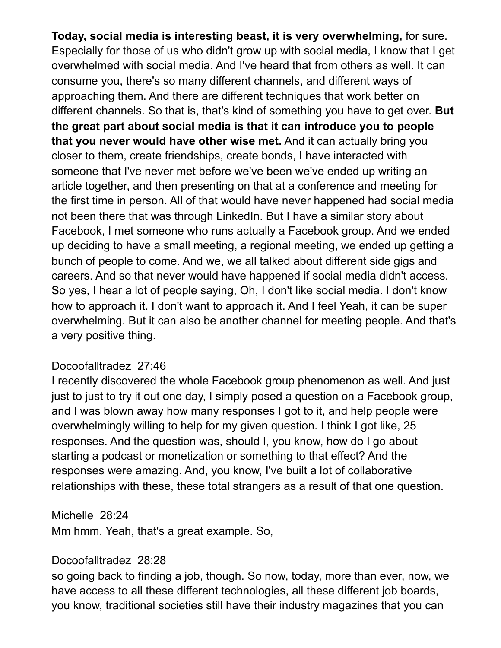**Today, social media is interesting beast, it is very overwhelming,** for sure. Especially for those of us who didn't grow up with social media, I know that I get overwhelmed with social media. And I've heard that from others as well. It can consume you, there's so many different channels, and different ways of approaching them. And there are different techniques that work better on different channels. So that is, that's kind of something you have to get over. **But the great part about social media is that it can introduce you to people that you never would have other wise met.** And it can actually bring you closer to them, create friendships, create bonds, I have interacted with someone that I've never met before we've been we've ended up writing an article together, and then presenting on that at a conference and meeting for the first time in person. All of that would have never happened had social media not been there that was through LinkedIn. But I have a similar story about Facebook, I met someone who runs actually a Facebook group. And we ended up deciding to have a small meeting, a regional meeting, we ended up getting a bunch of people to come. And we, we all talked about different side gigs and careers. And so that never would have happened if social media didn't access. So yes, I hear a lot of people saying, Oh, I don't like social media. I don't know how to approach it. I don't want to approach it. And I feel Yeah, it can be super overwhelming. But it can also be another channel for meeting people. And that's a very positive thing.

#### Docoofalltradez 27:46

I recently discovered the whole Facebook group phenomenon as well. And just just to just to try it out one day, I simply posed a question on a Facebook group, and I was blown away how many responses I got to it, and help people were overwhelmingly willing to help for my given question. I think I got like, 25 responses. And the question was, should I, you know, how do I go about starting a podcast or monetization or something to that effect? And the responses were amazing. And, you know, I've built a lot of collaborative relationships with these, these total strangers as a result of that one question.

Michelle 28:24

Mm hmm. Yeah, that's a great example. So,

#### Docoofalltradez 28:28

so going back to finding a job, though. So now, today, more than ever, now, we have access to all these different technologies, all these different job boards, you know, traditional societies still have their industry magazines that you can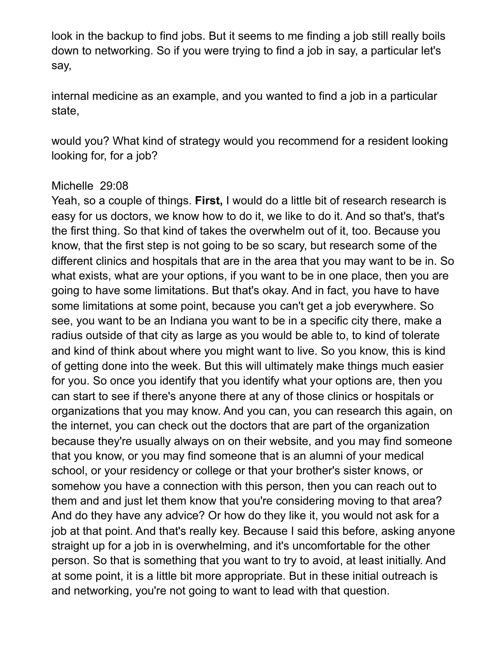look in the backup to find jobs. But it seems to me finding a job still really boils down to networking. So if you were trying to find a job in say, a particular let's say,

internal medicine as an example, and you wanted to find a job in a particular state,

would you? What kind of strategy would you recommend for a resident looking looking for, for a job?

#### Michelle 29:08

Yeah, so a couple of things. **First,** I would do a little bit of research research is easy for us doctors, we know how to do it, we like to do it. And so that's, that's the first thing. So that kind of takes the overwhelm out of it, too. Because you know, that the first step is not going to be so scary, but research some of the different clinics and hospitals that are in the area that you may want to be in. So what exists, what are your options, if you want to be in one place, then you are going to have some limitations. But that's okay. And in fact, you have to have some limitations at some point, because you can't get a job everywhere. So see, you want to be an Indiana you want to be in a specific city there, make a radius outside of that city as large as you would be able to, to kind of tolerate and kind of think about where you might want to live. So you know, this is kind of getting done into the week. But this will ultimately make things much easier for you. So once you identify that you identify what your options are, then you can start to see if there's anyone there at any of those clinics or hospitals or organizations that you may know. And you can, you can research this again, on the internet, you can check out the doctors that are part of the organization because they're usually always on on their website, and you may find someone that you know, or you may find someone that is an alumni of your medical school, or your residency or college or that your brother's sister knows, or somehow you have a connection with this person, then you can reach out to them and and just let them know that you're considering moving to that area? And do they have any advice? Or how do they like it, you would not ask for a job at that point. And that's really key. Because I said this before, asking anyone straight up for a job in is overwhelming, and it's uncomfortable for the other person. So that is something that you want to try to avoid, at least initially. And at some point, it is a little bit more appropriate. But in these initial outreach is and networking, you're not going to want to lead with that question.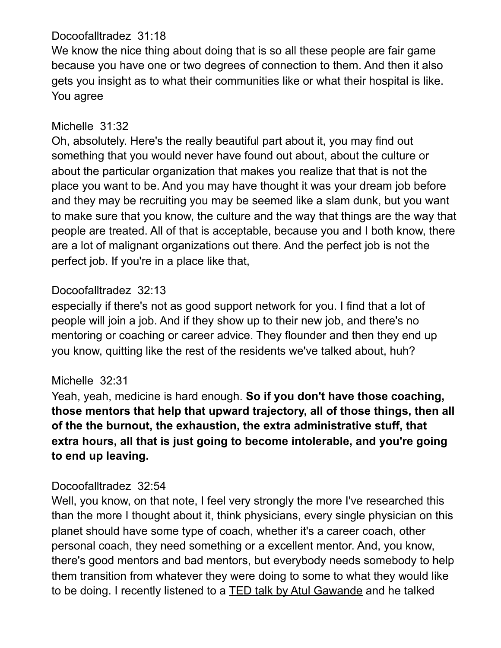### Docoofalltradez 31:18

We know the nice thing about doing that is so all these people are fair game because you have one or two degrees of connection to them. And then it also gets you insight as to what their communities like or what their hospital is like. You agree

## Michelle 31:32

Oh, absolutely. Here's the really beautiful part about it, you may find out something that you would never have found out about, about the culture or about the particular organization that makes you realize that that is not the place you want to be. And you may have thought it was your dream job before and they may be recruiting you may be seemed like a slam dunk, but you want to make sure that you know, the culture and the way that things are the way that people are treated. All of that is acceptable, because you and I both know, there are a lot of malignant organizations out there. And the perfect job is not the perfect job. If you're in a place like that,

## Docoofalltradez 32:13

especially if there's not as good support network for you. I find that a lot of people will join a job. And if they show up to their new job, and there's no mentoring or coaching or career advice. They flounder and then they end up you know, quitting like the rest of the residents we've talked about, huh?

## Michelle 32:31

Yeah, yeah, medicine is hard enough. **So if you don't have those coaching, those mentors that help that upward trajectory, all of those things, then all of the the burnout, the exhaustion, the extra administrative stuff, that extra hours, all that is just going to become intolerable, and you're going to end up leaving.** 

# Docoofalltradez 32:54

Well, you know, on that note, I feel very strongly the more I've researched this than the more I thought about it, think physicians, every single physician on this planet should have some type of coach, whether it's a career coach, other personal coach, they need something or a excellent mentor. And, you know, there's good mentors and bad mentors, but everybody needs somebody to help them transition from whatever they were doing to some to what they would like to be doing. I recently listened to a TED talk by Atul Gawande and he talked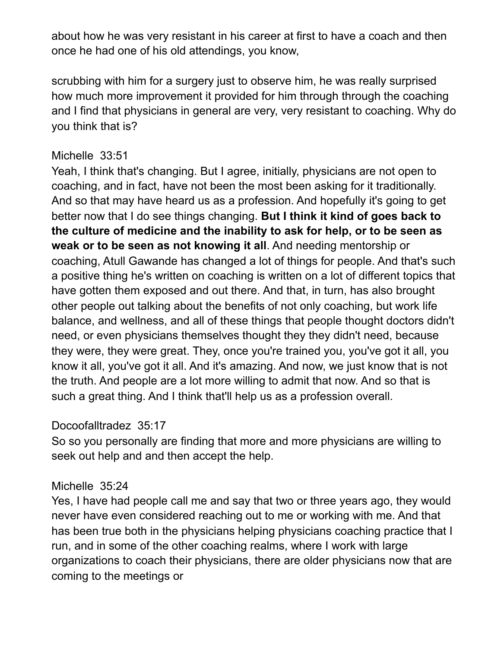about how he was very resistant in his career at first to have a coach and then once he had one of his old attendings, you know,

scrubbing with him for a surgery just to observe him, he was really surprised how much more improvement it provided for him through through the coaching and I find that physicians in general are very, very resistant to coaching. Why do you think that is?

### Michelle 33:51

Yeah, I think that's changing. But I agree, initially, physicians are not open to coaching, and in fact, have not been the most been asking for it traditionally. And so that may have heard us as a profession. And hopefully it's going to get better now that I do see things changing. **But I think it kind of goes back to the culture of medicine and the inability to ask for help, or to be seen as weak or to be seen as not knowing it all**. And needing mentorship or coaching, Atull Gawande has changed a lot of things for people. And that's such a positive thing he's written on coaching is written on a lot of different topics that have gotten them exposed and out there. And that, in turn, has also brought other people out talking about the benefits of not only coaching, but work life balance, and wellness, and all of these things that people thought doctors didn't need, or even physicians themselves thought they they didn't need, because they were, they were great. They, once you're trained you, you've got it all, you know it all, you've got it all. And it's amazing. And now, we just know that is not the truth. And people are a lot more willing to admit that now. And so that is such a great thing. And I think that'll help us as a profession overall.

## Docoofalltradez 35:17

So so you personally are finding that more and more physicians are willing to seek out help and and then accept the help.

#### Michelle 35:24

Yes, I have had people call me and say that two or three years ago, they would never have even considered reaching out to me or working with me. And that has been true both in the physicians helping physicians coaching practice that I run, and in some of the other coaching realms, where I work with large organizations to coach their physicians, there are older physicians now that are coming to the meetings or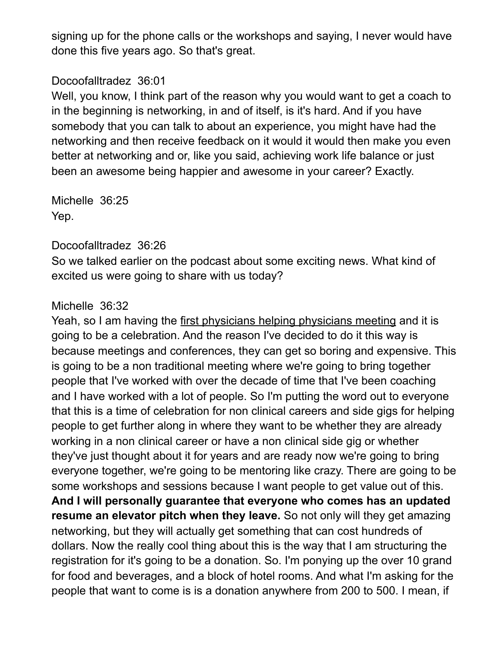signing up for the phone calls or the workshops and saying, I never would have done this five years ago. So that's great.

### Docoofalltradez 36:01

Well, you know, I think part of the reason why you would want to get a coach to in the beginning is networking, in and of itself, is it's hard. And if you have somebody that you can talk to about an experience, you might have had the networking and then receive feedback on it would it would then make you even better at networking and or, like you said, achieving work life balance or just been an awesome being happier and awesome in your career? Exactly.

Michelle 36:25 Yep.

#### Docoofalltradez 36:26

So we talked earlier on the podcast about some exciting news. What kind of excited us were going to share with us today?

## Michelle 36:32

Yeah, so I am having the first physicians helping physicians meeting and it is going to be a celebration. And the reason I've decided to do it this way is because meetings and conferences, they can get so boring and expensive. This is going to be a non traditional meeting where we're going to bring together people that I've worked with over the decade of time that I've been coaching and I have worked with a lot of people. So I'm putting the word out to everyone that this is a time of celebration for non clinical careers and side gigs for helping people to get further along in where they want to be whether they are already working in a non clinical career or have a non clinical side gig or whether they've just thought about it for years and are ready now we're going to bring everyone together, we're going to be mentoring like crazy. There are going to be some workshops and sessions because I want people to get value out of this. **And I will personally guarantee that everyone who comes has an updated resume an elevator pitch when they leave.** So not only will they get amazing networking, but they will actually get something that can cost hundreds of dollars. Now the really cool thing about this is the way that I am structuring the registration for it's going to be a donation. So. I'm ponying up the over 10 grand for food and beverages, and a block of hotel rooms. And what I'm asking for the people that want to come is is a donation anywhere from 200 to 500. I mean, if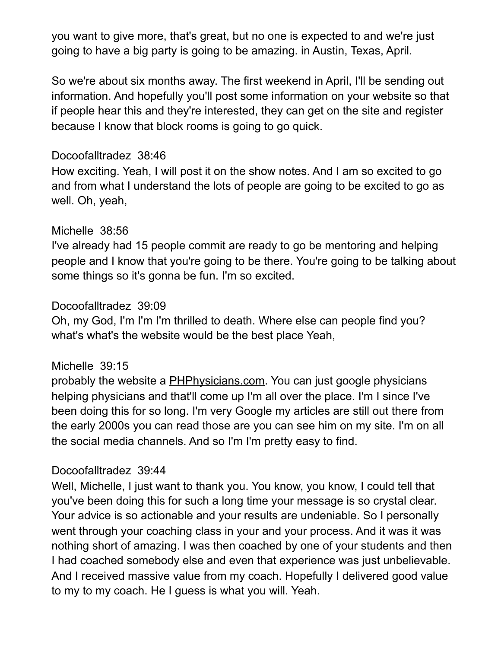you want to give more, that's great, but no one is expected to and we're just going to have a big party is going to be amazing. in Austin, Texas, April.

So we're about six months away. The first weekend in April, I'll be sending out information. And hopefully you'll post some information on your website so that if people hear this and they're interested, they can get on the site and register because I know that block rooms is going to go quick.

### Docoofalltradez 38:46

How exciting. Yeah, I will post it on the show notes. And I am so excited to go and from what I understand the lots of people are going to be excited to go as well. Oh, yeah,

### Michelle 38:56

I've already had 15 people commit are ready to go be mentoring and helping people and I know that you're going to be there. You're going to be talking about some things so it's gonna be fun. I'm so excited.

### Docoofalltradez 39:09

Oh, my God, I'm I'm I'm thrilled to death. Where else can people find you? what's what's the website would be the best place Yeah,

#### Michelle 39:15

probably the website a PHPhysicians.com. You can just google physicians helping physicians and that'll come up I'm all over the place. I'm I since I've been doing this for so long. I'm very Google my articles are still out there from the early 2000s you can read those are you can see him on my site. I'm on all the social media channels. And so I'm I'm pretty easy to find.

#### Docoofalltradez 39:44

Well, Michelle, I just want to thank you. You know, you know, I could tell that you've been doing this for such a long time your message is so crystal clear. Your advice is so actionable and your results are undeniable. So I personally went through your coaching class in your and your process. And it was it was nothing short of amazing. I was then coached by one of your students and then I had coached somebody else and even that experience was just unbelievable. And I received massive value from my coach. Hopefully I delivered good value to my to my coach. He I guess is what you will. Yeah.